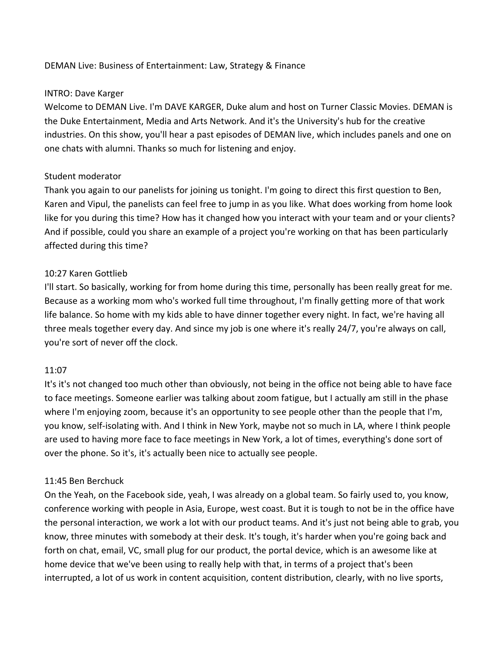#### DEMAN Live: Business of Entertainment: Law, Strategy & Finance

#### INTRO: Dave Karger

Welcome to DEMAN Live. I'm DAVE KARGER, Duke alum and host on Turner Classic Movies. DEMAN is the Duke Entertainment, Media and Arts Network. And it's the University's hub for the creative industries. On this show, you'll hear a past episodes of DEMAN live, which includes panels and one on one chats with alumni. Thanks so much for listening and enjoy.

#### Student moderator

Thank you again to our panelists for joining us tonight. I'm going to direct this first question to Ben, Karen and Vipul, the panelists can feel free to jump in as you like. What does working from home look like for you during this time? How has it changed how you interact with your team and or your clients? And if possible, could you share an example of a project you're working on that has been particularly affected during this time?

# 10:27 Karen Gottlieb

I'll start. So basically, working for from home during this time, personally has been really great for me. Because as a working mom who's worked full time throughout, I'm finally getting more of that work life balance. So home with my kids able to have dinner together every night. In fact, we're having all three meals together every day. And since my job is one where it's really 24/7, you're always on call, you're sort of never off the clock.

#### 11:07

It's it's not changed too much other than obviously, not being in the office not being able to have face to face meetings. Someone earlier was talking about zoom fatigue, but I actually am still in the phase where I'm enjoying zoom, because it's an opportunity to see people other than the people that I'm, you know, self-isolating with. And I think in New York, maybe not so much in LA, where I think people are used to having more face to face meetings in New York, a lot of times, everything's done sort of over the phone. So it's, it's actually been nice to actually see people.

# 11:45 Ben Berchuck

On the Yeah, on the Facebook side, yeah, I was already on a global team. So fairly used to, you know, conference working with people in Asia, Europe, west coast. But it is tough to not be in the office have the personal interaction, we work a lot with our product teams. And it's just not being able to grab, you know, three minutes with somebody at their desk. It's tough, it's harder when you're going back and forth on chat, email, VC, small plug for our product, the portal device, which is an awesome like at home device that we've been using to really help with that, in terms of a project that's been interrupted, a lot of us work in content acquisition, content distribution, clearly, with no live sports,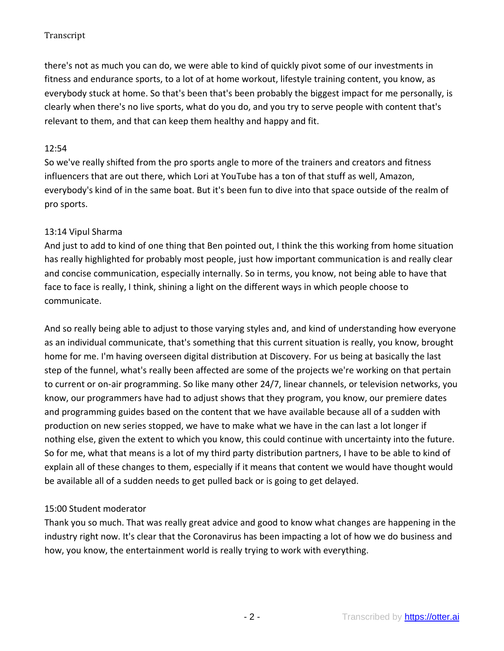there's not as much you can do, we were able to kind of quickly pivot some of our investments in fitness and endurance sports, to a lot of at home workout, lifestyle training content, you know, as everybody stuck at home. So that's been that's been probably the biggest impact for me personally, is clearly when there's no live sports, what do you do, and you try to serve people with content that's relevant to them, and that can keep them healthy and happy and fit.

## 12:54

So we've really shifted from the pro sports angle to more of the trainers and creators and fitness influencers that are out there, which Lori at YouTube has a ton of that stuff as well, Amazon, everybody's kind of in the same boat. But it's been fun to dive into that space outside of the realm of pro sports.

# 13:14 Vipul Sharma

And just to add to kind of one thing that Ben pointed out, I think the this working from home situation has really highlighted for probably most people, just how important communication is and really clear and concise communication, especially internally. So in terms, you know, not being able to have that face to face is really, I think, shining a light on the different ways in which people choose to communicate.

And so really being able to adjust to those varying styles and, and kind of understanding how everyone as an individual communicate, that's something that this current situation is really, you know, brought home for me. I'm having overseen digital distribution at Discovery. For us being at basically the last step of the funnel, what's really been affected are some of the projects we're working on that pertain to current or on-air programming. So like many other 24/7, linear channels, or television networks, you know, our programmers have had to adjust shows that they program, you know, our premiere dates and programming guides based on the content that we have available because all of a sudden with production on new series stopped, we have to make what we have in the can last a lot longer if nothing else, given the extent to which you know, this could continue with uncertainty into the future. So for me, what that means is a lot of my third party distribution partners, I have to be able to kind of explain all of these changes to them, especially if it means that content we would have thought would be available all of a sudden needs to get pulled back or is going to get delayed.

# 15:00 Student moderator

Thank you so much. That was really great advice and good to know what changes are happening in the industry right now. It's clear that the Coronavirus has been impacting a lot of how we do business and how, you know, the entertainment world is really trying to work with everything.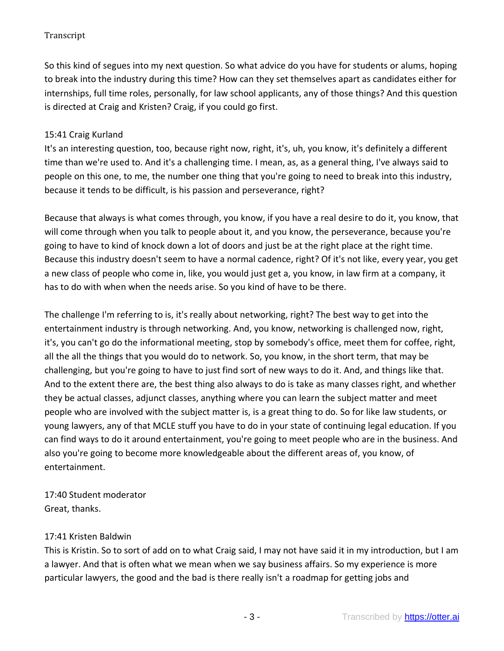So this kind of segues into my next question. So what advice do you have for students or alums, hoping to break into the industry during this time? How can they set themselves apart as candidates either for internships, full time roles, personally, for law school applicants, any of those things? And this question is directed at Craig and Kristen? Craig, if you could go first.

# 15:41 Craig Kurland

It's an interesting question, too, because right now, right, it's, uh, you know, it's definitely a different time than we're used to. And it's a challenging time. I mean, as, as a general thing, I've always said to people on this one, to me, the number one thing that you're going to need to break into this industry, because it tends to be difficult, is his passion and perseverance, right?

Because that always is what comes through, you know, if you have a real desire to do it, you know, that will come through when you talk to people about it, and you know, the perseverance, because you're going to have to kind of knock down a lot of doors and just be at the right place at the right time. Because this industry doesn't seem to have a normal cadence, right? Of it's not like, every year, you get a new class of people who come in, like, you would just get a, you know, in law firm at a company, it has to do with when when the needs arise. So you kind of have to be there.

The challenge I'm referring to is, it's really about networking, right? The best way to get into the entertainment industry is through networking. And, you know, networking is challenged now, right, it's, you can't go do the informational meeting, stop by somebody's office, meet them for coffee, right, all the all the things that you would do to network. So, you know, in the short term, that may be challenging, but you're going to have to just find sort of new ways to do it. And, and things like that. And to the extent there are, the best thing also always to do is take as many classes right, and whether they be actual classes, adjunct classes, anything where you can learn the subject matter and meet people who are involved with the subject matter is, is a great thing to do. So for like law students, or young lawyers, any of that MCLE stuff you have to do in your state of continuing legal education. If you can find ways to do it around entertainment, you're going to meet people who are in the business. And also you're going to become more knowledgeable about the different areas of, you know, of entertainment.

# 17:40 Student moderator Great, thanks.

# 17:41 Kristen Baldwin

This is Kristin. So to sort of add on to what Craig said, I may not have said it in my introduction, but I am a lawyer. And that is often what we mean when we say business affairs. So my experience is more particular lawyers, the good and the bad is there really isn't a roadmap for getting jobs and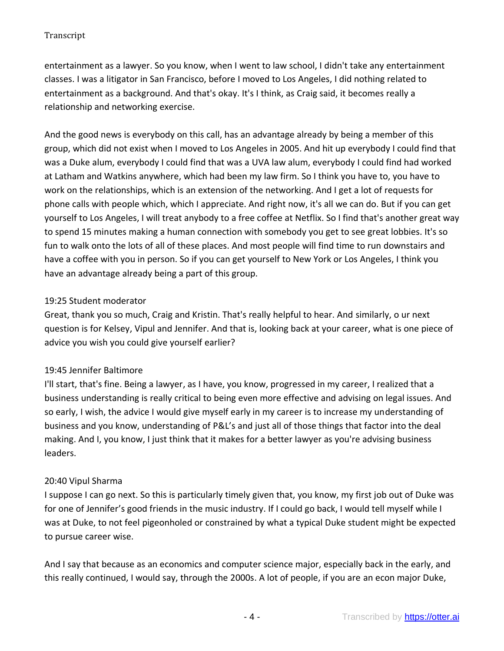entertainment as a lawyer. So you know, when I went to law school, I didn't take any entertainment classes. I was a litigator in San Francisco, before I moved to Los Angeles, I did nothing related to entertainment as a background. And that's okay. It's I think, as Craig said, it becomes really a relationship and networking exercise.

And the good news is everybody on this call, has an advantage already by being a member of this group, which did not exist when I moved to Los Angeles in 2005. And hit up everybody I could find that was a Duke alum, everybody I could find that was a UVA law alum, everybody I could find had worked at Latham and Watkins anywhere, which had been my law firm. So I think you have to, you have to work on the relationships, which is an extension of the networking. And I get a lot of requests for phone calls with people which, which I appreciate. And right now, it's all we can do. But if you can get yourself to Los Angeles, I will treat anybody to a free coffee at Netflix. So I find that's another great way to spend 15 minutes making a human connection with somebody you get to see great lobbies. It's so fun to walk onto the lots of all of these places. And most people will find time to run downstairs and have a coffee with you in person. So if you can get yourself to New York or Los Angeles, I think you have an advantage already being a part of this group.

# 19:25 Student moderator

Great, thank you so much, Craig and Kristin. That's really helpful to hear. And similarly, o ur next question is for Kelsey, Vipul and Jennifer. And that is, looking back at your career, what is one piece of advice you wish you could give yourself earlier?

# 19:45 Jennifer Baltimore

I'll start, that's fine. Being a lawyer, as I have, you know, progressed in my career, I realized that a business understanding is really critical to being even more effective and advising on legal issues. And so early, I wish, the advice I would give myself early in my career is to increase my understanding of business and you know, understanding of P&L's and just all of those things that factor into the deal making. And I, you know, I just think that it makes for a better lawyer as you're advising business leaders.

# 20:40 Vipul Sharma

I suppose I can go next. So this is particularly timely given that, you know, my first job out of Duke was for one of Jennifer's good friends in the music industry. If I could go back, I would tell myself while I was at Duke, to not feel pigeonholed or constrained by what a typical Duke student might be expected to pursue career wise.

And I say that because as an economics and computer science major, especially back in the early, and this really continued, I would say, through the 2000s. A lot of people, if you are an econ major Duke,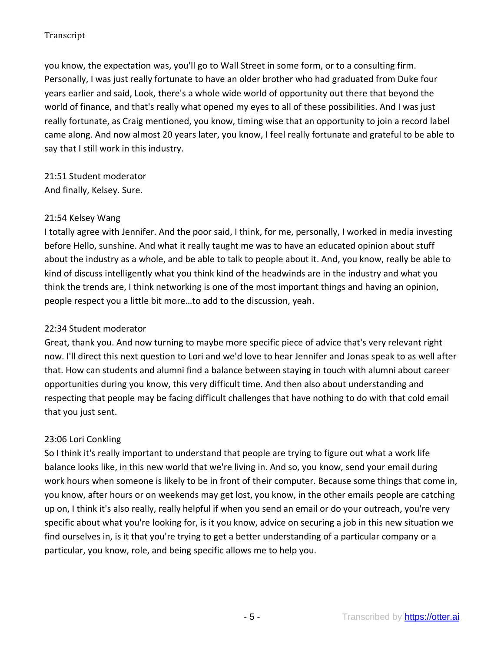you know, the expectation was, you'll go to Wall Street in some form, or to a consulting firm. Personally, I was just really fortunate to have an older brother who had graduated from Duke four years earlier and said, Look, there's a whole wide world of opportunity out there that beyond the world of finance, and that's really what opened my eyes to all of these possibilities. And I was just really fortunate, as Craig mentioned, you know, timing wise that an opportunity to join a record label came along. And now almost 20 years later, you know, I feel really fortunate and grateful to be able to say that I still work in this industry.

21:51 Student moderator And finally, Kelsey. Sure.

#### 21:54 Kelsey Wang

I totally agree with Jennifer. And the poor said, I think, for me, personally, I worked in media investing before Hello, sunshine. And what it really taught me was to have an educated opinion about stuff about the industry as a whole, and be able to talk to people about it. And, you know, really be able to kind of discuss intelligently what you think kind of the headwinds are in the industry and what you think the trends are, I think networking is one of the most important things and having an opinion, people respect you a little bit more…to add to the discussion, yeah.

## 22:34 Student moderator

Great, thank you. And now turning to maybe more specific piece of advice that's very relevant right now. I'll direct this next question to Lori and we'd love to hear Jennifer and Jonas speak to as well after that. How can students and alumni find a balance between staying in touch with alumni about career opportunities during you know, this very difficult time. And then also about understanding and respecting that people may be facing difficult challenges that have nothing to do with that cold email that you just sent.

# 23:06 Lori Conkling

So I think it's really important to understand that people are trying to figure out what a work life balance looks like, in this new world that we're living in. And so, you know, send your email during work hours when someone is likely to be in front of their computer. Because some things that come in, you know, after hours or on weekends may get lost, you know, in the other emails people are catching up on, I think it's also really, really helpful if when you send an email or do your outreach, you're very specific about what you're looking for, is it you know, advice on securing a job in this new situation we find ourselves in, is it that you're trying to get a better understanding of a particular company or a particular, you know, role, and being specific allows me to help you.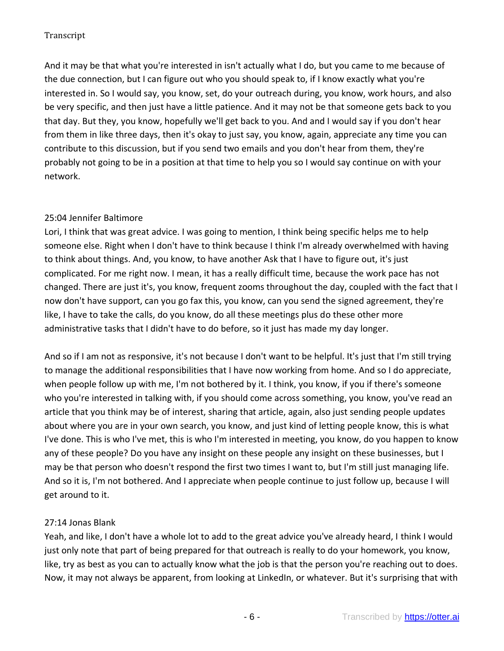And it may be that what you're interested in isn't actually what I do, but you came to me because of the due connection, but I can figure out who you should speak to, if I know exactly what you're interested in. So I would say, you know, set, do your outreach during, you know, work hours, and also be very specific, and then just have a little patience. And it may not be that someone gets back to you that day. But they, you know, hopefully we'll get back to you. And and I would say if you don't hear from them in like three days, then it's okay to just say, you know, again, appreciate any time you can contribute to this discussion, but if you send two emails and you don't hear from them, they're probably not going to be in a position at that time to help you so I would say continue on with your network.

# 25:04 Jennifer Baltimore

Lori, I think that was great advice. I was going to mention, I think being specific helps me to help someone else. Right when I don't have to think because I think I'm already overwhelmed with having to think about things. And, you know, to have another Ask that I have to figure out, it's just complicated. For me right now. I mean, it has a really difficult time, because the work pace has not changed. There are just it's, you know, frequent zooms throughout the day, coupled with the fact that I now don't have support, can you go fax this, you know, can you send the signed agreement, they're like, I have to take the calls, do you know, do all these meetings plus do these other more administrative tasks that I didn't have to do before, so it just has made my day longer.

And so if I am not as responsive, it's not because I don't want to be helpful. It's just that I'm still trying to manage the additional responsibilities that I have now working from home. And so I do appreciate, when people follow up with me, I'm not bothered by it. I think, you know, if you if there's someone who you're interested in talking with, if you should come across something, you know, you've read an article that you think may be of interest, sharing that article, again, also just sending people updates about where you are in your own search, you know, and just kind of letting people know, this is what I've done. This is who I've met, this is who I'm interested in meeting, you know, do you happen to know any of these people? Do you have any insight on these people any insight on these businesses, but I may be that person who doesn't respond the first two times I want to, but I'm still just managing life. And so it is, I'm not bothered. And I appreciate when people continue to just follow up, because I will get around to it.

# 27:14 Jonas Blank

Yeah, and like, I don't have a whole lot to add to the great advice you've already heard, I think I would just only note that part of being prepared for that outreach is really to do your homework, you know, like, try as best as you can to actually know what the job is that the person you're reaching out to does. Now, it may not always be apparent, from looking at LinkedIn, or whatever. But it's surprising that with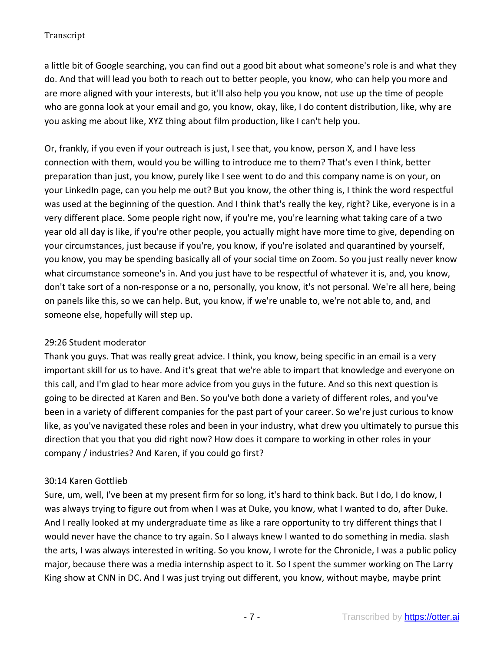a little bit of Google searching, you can find out a good bit about what someone's role is and what they do. And that will lead you both to reach out to better people, you know, who can help you more and are more aligned with your interests, but it'll also help you you know, not use up the time of people who are gonna look at your email and go, you know, okay, like, I do content distribution, like, why are you asking me about like, XYZ thing about film production, like I can't help you.

Or, frankly, if you even if your outreach is just, I see that, you know, person X, and I have less connection with them, would you be willing to introduce me to them? That's even I think, better preparation than just, you know, purely like I see went to do and this company name is on your, on your LinkedIn page, can you help me out? But you know, the other thing is, I think the word respectful was used at the beginning of the question. And I think that's really the key, right? Like, everyone is in a very different place. Some people right now, if you're me, you're learning what taking care of a two year old all day is like, if you're other people, you actually might have more time to give, depending on your circumstances, just because if you're, you know, if you're isolated and quarantined by yourself, you know, you may be spending basically all of your social time on Zoom. So you just really never know what circumstance someone's in. And you just have to be respectful of whatever it is, and, you know, don't take sort of a non-response or a no, personally, you know, it's not personal. We're all here, being on panels like this, so we can help. But, you know, if we're unable to, we're not able to, and, and someone else, hopefully will step up.

# 29:26 Student moderator

Thank you guys. That was really great advice. I think, you know, being specific in an email is a very important skill for us to have. And it's great that we're able to impart that knowledge and everyone on this call, and I'm glad to hear more advice from you guys in the future. And so this next question is going to be directed at Karen and Ben. So you've both done a variety of different roles, and you've been in a variety of different companies for the past part of your career. So we're just curious to know like, as you've navigated these roles and been in your industry, what drew you ultimately to pursue this direction that you that you did right now? How does it compare to working in other roles in your company / industries? And Karen, if you could go first?

# 30:14 Karen Gottlieb

Sure, um, well, I've been at my present firm for so long, it's hard to think back. But I do, I do know, I was always trying to figure out from when I was at Duke, you know, what I wanted to do, after Duke. And I really looked at my undergraduate time as like a rare opportunity to try different things that I would never have the chance to try again. So I always knew I wanted to do something in media. slash the arts, I was always interested in writing. So you know, I wrote for the Chronicle, I was a public policy major, because there was a media internship aspect to it. So I spent the summer working on The Larry King show at CNN in DC. And I was just trying out different, you know, without maybe, maybe print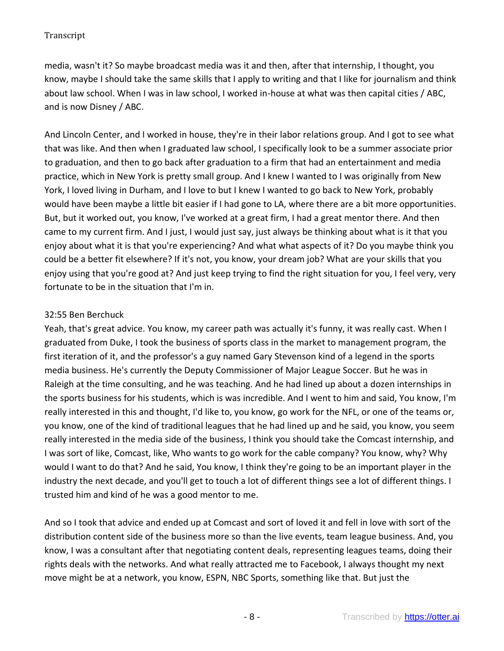media, wasn't it? So maybe broadcast media was it and then, after that internship, I thought, you know, maybe I should take the same skills that I apply to writing and that I like for journalism and think about law school. When I was in law school, I worked in-house at what was then capital cities / ABC, and is now Disney / ABC.

And Lincoln Center, and I worked in house, they're in their labor relations group. And I got to see what that was like. And then when I graduated law school, I specifically look to be a summer associate prior to graduation, and then to go back after graduation to a firm that had an entertainment and media practice, which in New York is pretty small group. And I knew I wanted to I was originally from New York, I loved living in Durham, and I love to but I knew I wanted to go back to New York, probably would have been maybe a little bit easier if I had gone to LA, where there are a bit more opportunities. But, but it worked out, you know, I've worked at a great firm, I had a great mentor there. And then came to my current firm. And I just, I would just say, just always be thinking about what is it that you enjoy about what it is that you're experiencing? And what what aspects of it? Do you maybe think you could be a better fit elsewhere? If it's not, you know, your dream job? What are your skills that you enjoy using that you're good at? And just keep trying to find the right situation for you, I feel very, very fortunate to be in the situation that I'm in.

#### 32:55 Ben Berchuck

Yeah, that's great advice. You know, my career path was actually it's funny, it was really cast. When I graduated from Duke, I took the business of sports class in the market to management program, the first iteration of it, and the professor's a guy named Gary Stevenson kind of a legend in the sports media business. He's currently the Deputy Commissioner of Major League Soccer. But he was in Raleigh at the time consulting, and he was teaching. And he had lined up about a dozen internships in the sports business for his students, which is was incredible. And I went to him and said, You know, I'm really interested in this and thought, I'd like to, you know, go work for the NFL, or one of the teams or, you know, one of the kind of traditional leagues that he had lined up and he said, you know, you seem really interested in the media side of the business, I think you should take the Comcast internship, and I was sort of like, Comcast, like, Who wants to go work for the cable company? You know, why? Why would I want to do that? And he said, You know, I think they're going to be an important player in the industry the next decade, and you'll get to touch a lot of different things see a lot of different things. I trusted him and kind of he was a good mentor to me.

And so I took that advice and ended up at Comcast and sort of loved it and fell in love with sort of the distribution content side of the business more so than the live events, team league business. And, you know, I was a consultant after that negotiating content deals, representing leagues teams, doing their rights deals with the networks. And what really attracted me to Facebook, I always thought my next move might be at a network, you know, ESPN, NBC Sports, something like that. But just the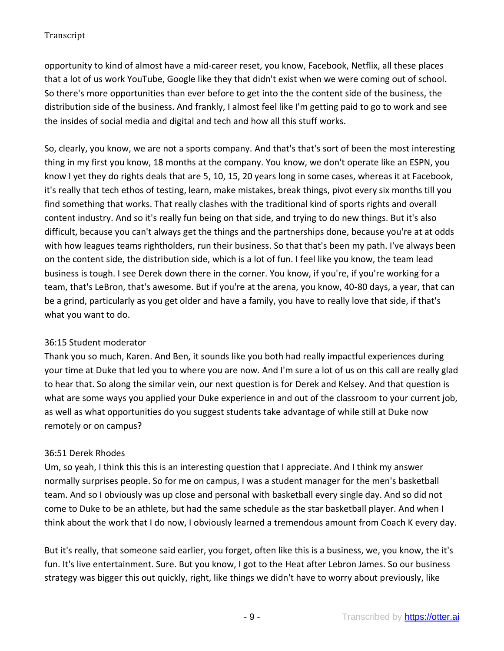opportunity to kind of almost have a mid-career reset, you know, Facebook, Netflix, all these places that a lot of us work YouTube, Google like they that didn't exist when we were coming out of school. So there's more opportunities than ever before to get into the the content side of the business, the distribution side of the business. And frankly, I almost feel like I'm getting paid to go to work and see the insides of social media and digital and tech and how all this stuff works.

So, clearly, you know, we are not a sports company. And that's that's sort of been the most interesting thing in my first you know, 18 months at the company. You know, we don't operate like an ESPN, you know I yet they do rights deals that are 5, 10, 15, 20 years long in some cases, whereas it at Facebook, it's really that tech ethos of testing, learn, make mistakes, break things, pivot every six months till you find something that works. That really clashes with the traditional kind of sports rights and overall content industry. And so it's really fun being on that side, and trying to do new things. But it's also difficult, because you can't always get the things and the partnerships done, because you're at at odds with how leagues teams rightholders, run their business. So that that's been my path. I've always been on the content side, the distribution side, which is a lot of fun. I feel like you know, the team lead business is tough. I see Derek down there in the corner. You know, if you're, if you're working for a team, that's LeBron, that's awesome. But if you're at the arena, you know, 40-80 days, a year, that can be a grind, particularly as you get older and have a family, you have to really love that side, if that's what you want to do.

# 36:15 Student moderator

Thank you so much, Karen. And Ben, it sounds like you both had really impactful experiences during your time at Duke that led you to where you are now. And I'm sure a lot of us on this call are really glad to hear that. So along the similar vein, our next question is for Derek and Kelsey. And that question is what are some ways you applied your Duke experience in and out of the classroom to your current job, as well as what opportunities do you suggest students take advantage of while still at Duke now remotely or on campus?

# 36:51 Derek Rhodes

Um, so yeah, I think this this is an interesting question that I appreciate. And I think my answer normally surprises people. So for me on campus, I was a student manager for the men's basketball team. And so I obviously was up close and personal with basketball every single day. And so did not come to Duke to be an athlete, but had the same schedule as the star basketball player. And when I think about the work that I do now, I obviously learned a tremendous amount from Coach K every day.

But it's really, that someone said earlier, you forget, often like this is a business, we, you know, the it's fun. It's live entertainment. Sure. But you know, I got to the Heat after Lebron James. So our business strategy was bigger this out quickly, right, like things we didn't have to worry about previously, like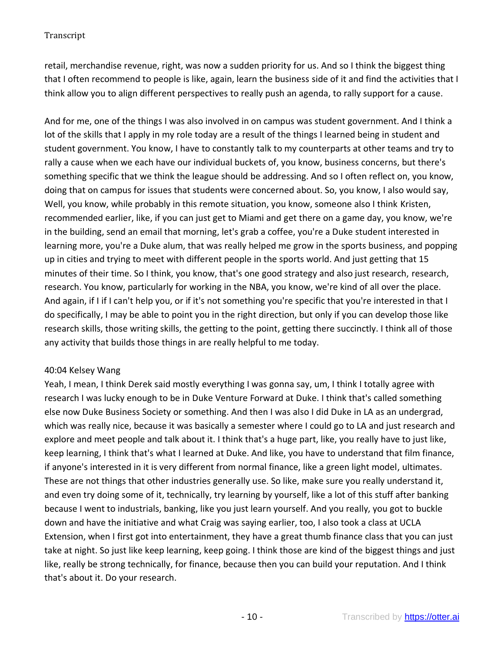retail, merchandise revenue, right, was now a sudden priority for us. And so I think the biggest thing that I often recommend to people is like, again, learn the business side of it and find the activities that I think allow you to align different perspectives to really push an agenda, to rally support for a cause.

And for me, one of the things I was also involved in on campus was student government. And I think a lot of the skills that I apply in my role today are a result of the things I learned being in student and student government. You know, I have to constantly talk to my counterparts at other teams and try to rally a cause when we each have our individual buckets of, you know, business concerns, but there's something specific that we think the league should be addressing. And so I often reflect on, you know, doing that on campus for issues that students were concerned about. So, you know, I also would say, Well, you know, while probably in this remote situation, you know, someone also I think Kristen, recommended earlier, like, if you can just get to Miami and get there on a game day, you know, we're in the building, send an email that morning, let's grab a coffee, you're a Duke student interested in learning more, you're a Duke alum, that was really helped me grow in the sports business, and popping up in cities and trying to meet with different people in the sports world. And just getting that 15 minutes of their time. So I think, you know, that's one good strategy and also just research, research, research. You know, particularly for working in the NBA, you know, we're kind of all over the place. And again, if I if I can't help you, or if it's not something you're specific that you're interested in that I do specifically, I may be able to point you in the right direction, but only if you can develop those like research skills, those writing skills, the getting to the point, getting there succinctly. I think all of those any activity that builds those things in are really helpful to me today.

# 40:04 Kelsey Wang

Yeah, I mean, I think Derek said mostly everything I was gonna say, um, I think I totally agree with research I was lucky enough to be in Duke Venture Forward at Duke. I think that's called something else now Duke Business Society or something. And then I was also I did Duke in LA as an undergrad, which was really nice, because it was basically a semester where I could go to LA and just research and explore and meet people and talk about it. I think that's a huge part, like, you really have to just like, keep learning, I think that's what I learned at Duke. And like, you have to understand that film finance, if anyone's interested in it is very different from normal finance, like a green light model, ultimates. These are not things that other industries generally use. So like, make sure you really understand it, and even try doing some of it, technically, try learning by yourself, like a lot of this stuff after banking because I went to industrials, banking, like you just learn yourself. And you really, you got to buckle down and have the initiative and what Craig was saying earlier, too, I also took a class at UCLA Extension, when I first got into entertainment, they have a great thumb finance class that you can just take at night. So just like keep learning, keep going. I think those are kind of the biggest things and just like, really be strong technically, for finance, because then you can build your reputation. And I think that's about it. Do your research.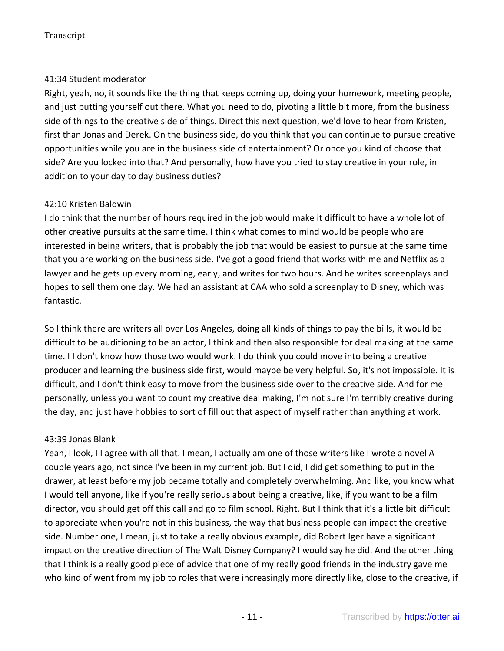## 41:34 Student moderator

Right, yeah, no, it sounds like the thing that keeps coming up, doing your homework, meeting people, and just putting yourself out there. What you need to do, pivoting a little bit more, from the business side of things to the creative side of things. Direct this next question, we'd love to hear from Kristen, first than Jonas and Derek. On the business side, do you think that you can continue to pursue creative opportunities while you are in the business side of entertainment? Or once you kind of choose that side? Are you locked into that? And personally, how have you tried to stay creative in your role, in addition to your day to day business duties?

#### 42:10 Kristen Baldwin

I do think that the number of hours required in the job would make it difficult to have a whole lot of other creative pursuits at the same time. I think what comes to mind would be people who are interested in being writers, that is probably the job that would be easiest to pursue at the same time that you are working on the business side. I've got a good friend that works with me and Netflix as a lawyer and he gets up every morning, early, and writes for two hours. And he writes screenplays and hopes to sell them one day. We had an assistant at CAA who sold a screenplay to Disney, which was fantastic.

So I think there are writers all over Los Angeles, doing all kinds of things to pay the bills, it would be difficult to be auditioning to be an actor, I think and then also responsible for deal making at the same time. I I don't know how those two would work. I do think you could move into being a creative producer and learning the business side first, would maybe be very helpful. So, it's not impossible. It is difficult, and I don't think easy to move from the business side over to the creative side. And for me personally, unless you want to count my creative deal making, I'm not sure I'm terribly creative during the day, and just have hobbies to sort of fill out that aspect of myself rather than anything at work.

#### 43:39 Jonas Blank

Yeah, I look, I I agree with all that. I mean, I actually am one of those writers like I wrote a novel A couple years ago, not since I've been in my current job. But I did, I did get something to put in the drawer, at least before my job became totally and completely overwhelming. And like, you know what I would tell anyone, like if you're really serious about being a creative, like, if you want to be a film director, you should get off this call and go to film school. Right. But I think that it's a little bit difficult to appreciate when you're not in this business, the way that business people can impact the creative side. Number one, I mean, just to take a really obvious example, did Robert Iger have a significant impact on the creative direction of The Walt Disney Company? I would say he did. And the other thing that I think is a really good piece of advice that one of my really good friends in the industry gave me who kind of went from my job to roles that were increasingly more directly like, close to the creative, if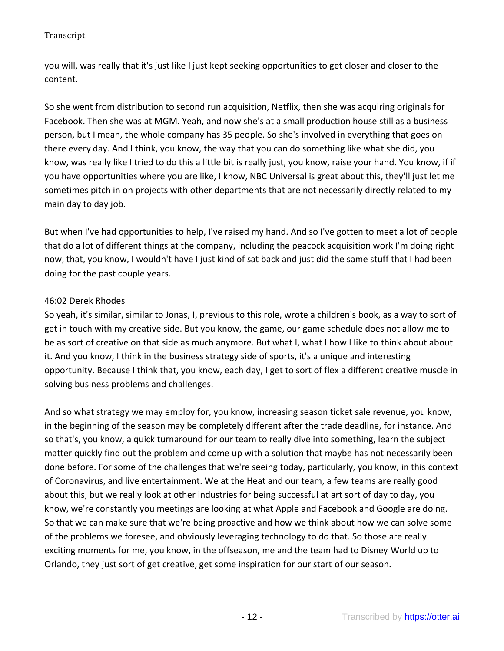you will, was really that it's just like I just kept seeking opportunities to get closer and closer to the content.

So she went from distribution to second run acquisition, Netflix, then she was acquiring originals for Facebook. Then she was at MGM. Yeah, and now she's at a small production house still as a business person, but I mean, the whole company has 35 people. So she's involved in everything that goes on there every day. And I think, you know, the way that you can do something like what she did, you know, was really like I tried to do this a little bit is really just, you know, raise your hand. You know, if if you have opportunities where you are like, I know, NBC Universal is great about this, they'll just let me sometimes pitch in on projects with other departments that are not necessarily directly related to my main day to day job.

But when I've had opportunities to help, I've raised my hand. And so I've gotten to meet a lot of people that do a lot of different things at the company, including the peacock acquisition work I'm doing right now, that, you know, I wouldn't have I just kind of sat back and just did the same stuff that I had been doing for the past couple years.

# 46:02 Derek Rhodes

So yeah, it's similar, similar to Jonas, I, previous to this role, wrote a children's book, as a way to sort of get in touch with my creative side. But you know, the game, our game schedule does not allow me to be as sort of creative on that side as much anymore. But what I, what I how I like to think about about it. And you know, I think in the business strategy side of sports, it's a unique and interesting opportunity. Because I think that, you know, each day, I get to sort of flex a different creative muscle in solving business problems and challenges.

And so what strategy we may employ for, you know, increasing season ticket sale revenue, you know, in the beginning of the season may be completely different after the trade deadline, for instance. And so that's, you know, a quick turnaround for our team to really dive into something, learn the subject matter quickly find out the problem and come up with a solution that maybe has not necessarily been done before. For some of the challenges that we're seeing today, particularly, you know, in this context of Coronavirus, and live entertainment. We at the Heat and our team, a few teams are really good about this, but we really look at other industries for being successful at art sort of day to day, you know, we're constantly you meetings are looking at what Apple and Facebook and Google are doing. So that we can make sure that we're being proactive and how we think about how we can solve some of the problems we foresee, and obviously leveraging technology to do that. So those are really exciting moments for me, you know, in the offseason, me and the team had to Disney World up to Orlando, they just sort of get creative, get some inspiration for our start of our season.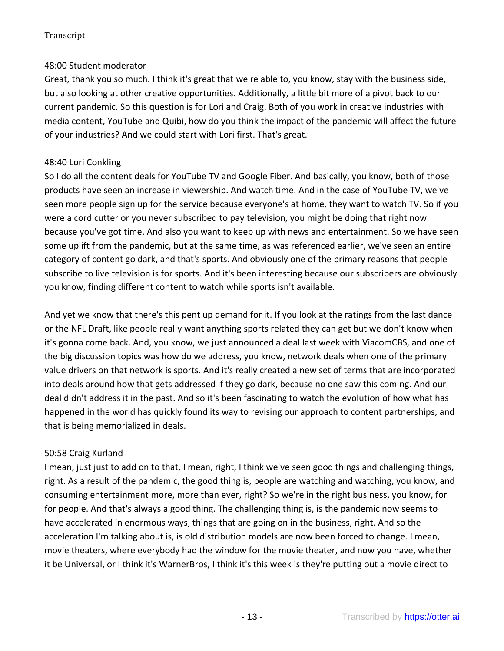# 48:00 Student moderator

Great, thank you so much. I think it's great that we're able to, you know, stay with the business side, but also looking at other creative opportunities. Additionally, a little bit more of a pivot back to our current pandemic. So this question is for Lori and Craig. Both of you work in creative industries with media content, YouTube and Quibi, how do you think the impact of the pandemic will affect the future of your industries? And we could start with Lori first. That's great.

# 48:40 Lori Conkling

So I do all the content deals for YouTube TV and Google Fiber. And basically, you know, both of those products have seen an increase in viewership. And watch time. And in the case of YouTube TV, we've seen more people sign up for the service because everyone's at home, they want to watch TV. So if you were a cord cutter or you never subscribed to pay television, you might be doing that right now because you've got time. And also you want to keep up with news and entertainment. So we have seen some uplift from the pandemic, but at the same time, as was referenced earlier, we've seen an entire category of content go dark, and that's sports. And obviously one of the primary reasons that people subscribe to live television is for sports. And it's been interesting because our subscribers are obviously you know, finding different content to watch while sports isn't available.

And yet we know that there's this pent up demand for it. If you look at the ratings from the last dance or the NFL Draft, like people really want anything sports related they can get but we don't know when it's gonna come back. And, you know, we just announced a deal last week with ViacomCBS, and one of the big discussion topics was how do we address, you know, network deals when one of the primary value drivers on that network is sports. And it's really created a new set of terms that are incorporated into deals around how that gets addressed if they go dark, because no one saw this coming. And our deal didn't address it in the past. And so it's been fascinating to watch the evolution of how what has happened in the world has quickly found its way to revising our approach to content partnerships, and that is being memorialized in deals.

# 50:58 Craig Kurland

I mean, just just to add on to that, I mean, right, I think we've seen good things and challenging things, right. As a result of the pandemic, the good thing is, people are watching and watching, you know, and consuming entertainment more, more than ever, right? So we're in the right business, you know, for for people. And that's always a good thing. The challenging thing is, is the pandemic now seems to have accelerated in enormous ways, things that are going on in the business, right. And so the acceleration I'm talking about is, is old distribution models are now been forced to change. I mean, movie theaters, where everybody had the window for the movie theater, and now you have, whether it be Universal, or I think it's WarnerBros, I think it's this week is they're putting out a movie direct to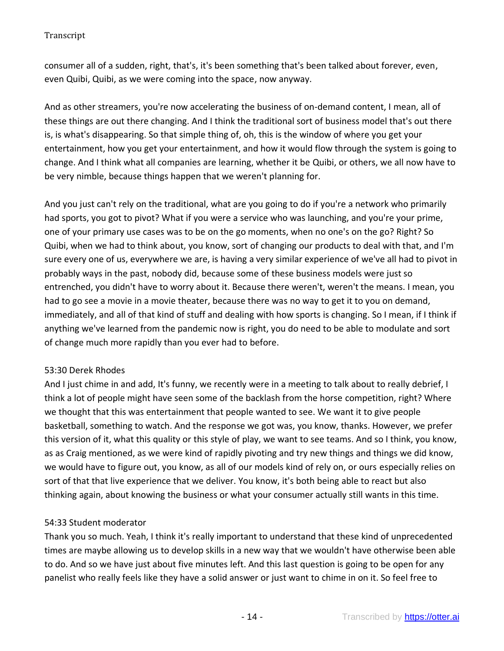consumer all of a sudden, right, that's, it's been something that's been talked about forever, even, even Quibi, Quibi, as we were coming into the space, now anyway.

And as other streamers, you're now accelerating the business of on-demand content, I mean, all of these things are out there changing. And I think the traditional sort of business model that's out there is, is what's disappearing. So that simple thing of, oh, this is the window of where you get your entertainment, how you get your entertainment, and how it would flow through the system is going to change. And I think what all companies are learning, whether it be Quibi, or others, we all now have to be very nimble, because things happen that we weren't planning for.

And you just can't rely on the traditional, what are you going to do if you're a network who primarily had sports, you got to pivot? What if you were a service who was launching, and you're your prime, one of your primary use cases was to be on the go moments, when no one's on the go? Right? So Quibi, when we had to think about, you know, sort of changing our products to deal with that, and I'm sure every one of us, everywhere we are, is having a very similar experience of we've all had to pivot in probably ways in the past, nobody did, because some of these business models were just so entrenched, you didn't have to worry about it. Because there weren't, weren't the means. I mean, you had to go see a movie in a movie theater, because there was no way to get it to you on demand, immediately, and all of that kind of stuff and dealing with how sports is changing. So I mean, if I think if anything we've learned from the pandemic now is right, you do need to be able to modulate and sort of change much more rapidly than you ever had to before.

# 53:30 Derek Rhodes

And I just chime in and add, It's funny, we recently were in a meeting to talk about to really debrief, I think a lot of people might have seen some of the backlash from the horse competition, right? Where we thought that this was entertainment that people wanted to see. We want it to give people basketball, something to watch. And the response we got was, you know, thanks. However, we prefer this version of it, what this quality or this style of play, we want to see teams. And so I think, you know, as as Craig mentioned, as we were kind of rapidly pivoting and try new things and things we did know, we would have to figure out, you know, as all of our models kind of rely on, or ours especially relies on sort of that that live experience that we deliver. You know, it's both being able to react but also thinking again, about knowing the business or what your consumer actually still wants in this time.

# 54:33 Student moderator

Thank you so much. Yeah, I think it's really important to understand that these kind of unprecedented times are maybe allowing us to develop skills in a new way that we wouldn't have otherwise been able to do. And so we have just about five minutes left. And this last question is going to be open for any panelist who really feels like they have a solid answer or just want to chime in on it. So feel free to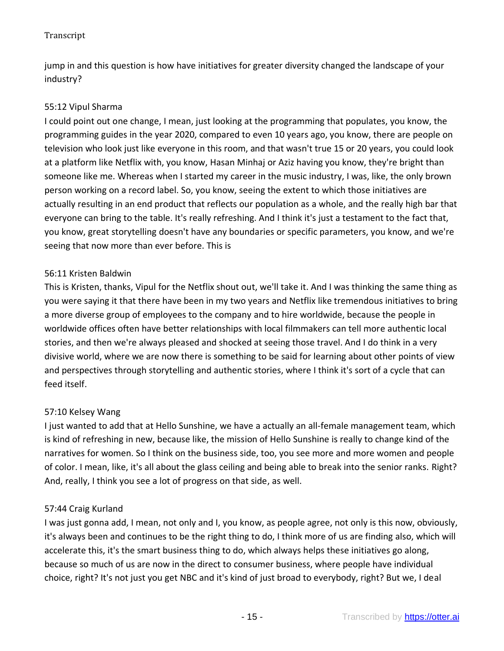jump in and this question is how have initiatives for greater diversity changed the landscape of your industry?

# 55:12 Vipul Sharma

I could point out one change, I mean, just looking at the programming that populates, you know, the programming guides in the year 2020, compared to even 10 years ago, you know, there are people on television who look just like everyone in this room, and that wasn't true 15 or 20 years, you could look at a platform like Netflix with, you know, Hasan Minhaj or Aziz having you know, they're bright than someone like me. Whereas when I started my career in the music industry, I was, like, the only brown person working on a record label. So, you know, seeing the extent to which those initiatives are actually resulting in an end product that reflects our population as a whole, and the really high bar that everyone can bring to the table. It's really refreshing. And I think it's just a testament to the fact that, you know, great storytelling doesn't have any boundaries or specific parameters, you know, and we're seeing that now more than ever before. This is

# 56:11 Kristen Baldwin

This is Kristen, thanks, Vipul for the Netflix shout out, we'll take it. And I was thinking the same thing as you were saying it that there have been in my two years and Netflix like tremendous initiatives to bring a more diverse group of employees to the company and to hire worldwide, because the people in worldwide offices often have better relationships with local filmmakers can tell more authentic local stories, and then we're always pleased and shocked at seeing those travel. And I do think in a very divisive world, where we are now there is something to be said for learning about other points of view and perspectives through storytelling and authentic stories, where I think it's sort of a cycle that can feed itself.

# 57:10 Kelsey Wang

I just wanted to add that at Hello Sunshine, we have a actually an all-female management team, which is kind of refreshing in new, because like, the mission of Hello Sunshine is really to change kind of the narratives for women. So I think on the business side, too, you see more and more women and people of color. I mean, like, it's all about the glass ceiling and being able to break into the senior ranks. Right? And, really, I think you see a lot of progress on that side, as well.

# 57:44 Craig Kurland

I was just gonna add, I mean, not only and I, you know, as people agree, not only is this now, obviously, it's always been and continues to be the right thing to do, I think more of us are finding also, which will accelerate this, it's the smart business thing to do, which always helps these initiatives go along, because so much of us are now in the direct to consumer business, where people have individual choice, right? It's not just you get NBC and it's kind of just broad to everybody, right? But we, I deal